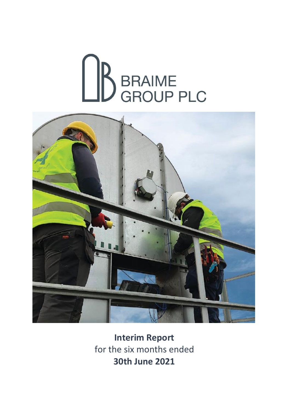



**Interim Report** for the six months ended **30th June 2021**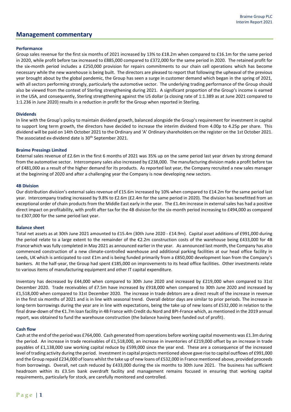### **Management commentary**

### **Performance**

Group sales revenue for the first six months of 2021 increased by 13% to £18.2m when compared to £16.1m for the same period in 2020, while profit before tax increased to £885,000 compared to £372,000 for the same period in 2020. The retained profit for the six-month period includes a £250,000 provision for repairs commitments to our chain cell operations which has become necessary while the new warehouse is being built. The directors are pleased to report that following the upheaval of the previous year brought about by the global pandemic, the Group has seen a surge in customer demand which began in the spring of 2021, with all sectors performing strongly, particularly the automotive sector. The underlying trading performance of the Group should also be viewed from the context of Sterling strengthening during 2021. A significant proportion of the Group's income is earned in the USA, and consequently, Sterling strengthening against the US dollar (a closing rate of 1:1.389 as at June 2021 compared to 1:1.236 in June 2020) results in a reduction in profit for the Group when reported in Sterling.

#### **Dividends**

In line with the Group's policy to maintain dividend growth, balanced alongside the Group's requirement for investment in capital to support long term growth, the directors have decided to increase the interim dividend from 4.00p to 4.25p per share. This dividend will be paid on 14th October 2021 to the Ordinary and 'A' Ordinary shareholders on the register on the 1st October 2021. The associated ex-dividend date is 30<sup>th</sup> September 2021.

#### **Braime Pressings Limited**

External sales revenue of £2.6m in the first 6 months of 2021 was 35% up on the same period last year driven by strong demand from the automotive sector. Intercompany sales also increased by £238,000. The manufacturing division made a profit before tax of £481,000 as a result of the higher demand for its products. As reported last year, the Company recruited a new sales manager at the beginning of 2020 and after a challenging year the Company is now developing new sectors.

#### **4B Division**

Our distribution division's external sales revenue of £15.6m increased by 10% when compared to £14.2m for the same period last year. Intercompany trading increased by 9.8% to £2.6m (£2.4m for the same period in 2020). The division has benefitted from an exceptional order of chain products from the Middle East early in the year. The £1.4m increase in external sales has had a positive direct impact on profitability, with profit after tax for the 4B division for the six-month period increasing to £494,000 as compared to £307,000 for the same period last year.

#### **Balance sheet**

Total net assets as at 30th June 2021 amounted to £15.4m (30th June 2020 - £14.9m). Capital asset additions of £991,000 during the period relate to a large extent to the remainder of the €2.2m construction costs of the warehouse being £433,000 for 4B France which was fully completed in May 2021 as announced earlier in the year. As announced last month, the Company has also commenced construction of a new climate-controlled warehouse and additional parking facilities at our head office facility in Leeds, UK which is anticipated to cost £1m and is being funded primarily from a £850,000 development loan from the Company's bankers. At the half-year, the Group had spent £185,000 on improvements to its head office facilities. Other investments relate to various items of manufacturing equipment and other IT capital expenditure.

Inventory has decreased by £44,000 when compared to 30th June 2020 and increased by £219,000 when compared to 31st December 2020. Trade receivables of £7.5m have increased by £918,000 when compared to 30th June 2020 and increased by £1,518,000 when compared to 31st December 2020. The increase in trade debtors are a direct result of the increase in revenue in the first six months of 2021 and is in line with seasonal trend. Overall debtor days are similar to prior periods. The increase in long-term borrowings during the year are in line with expectations, being the take up of new loans of £532,000 in relation to the final draw-down of the €1.7m loan facility in 4B France with Credit du Nord and BPI-France which, as mentioned in the 2019 annual report, was obtained to fund the warehouse construction (the balance having been funded out of profit).

### **Cash flow**

Cash at the end of the period was £764,000. Cash generated from operations before working capital movements was £1.3m during the period. An increase in trade receivables of £1,518,000, an increase in inventories of £219,000 offset by an increase in trade payables of £1,138,000 saw working capital reduce by £599,000 since the year end. These are a consequence of the increased level of trading activity during the period. Investment in capital projects mentioned above gave rise to capital outflows of £991,000 and the Group repaid £234,000 of loans whilst the take up of new loans of £532,000 in France mentioned above, provided proceeds from borrowings. Overall, net cash reduced by £433,000 during the six months to 30th June 2021. The business has sufficient headroom within its £3.5m bank overdraft facility and management remains focused in ensuring that working capital requirements, particularly for stock, are carefully monitored and controlled.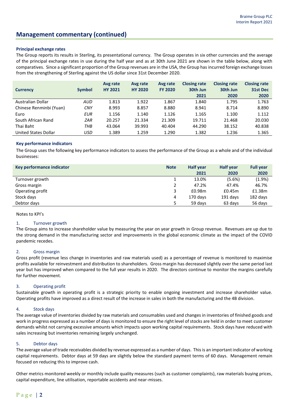## **Management commentary (continued)**

### **Principal exchange rates**

The Group reports its results in Sterling, its presentational currency. The Group operates in six other currencies and the average of the principal exchange rates in use during the half year and as at 30th June 2021 are shown in the table below, along with comparatives. Since a significant proportion of the Group revenues are in the USA, the Group has incurred foreign exchange losses from the strengthening of Sterling against the US dollar since 31st December 2020.

| <b>Currency</b>         | <b>Symbol</b> | Avg rate<br><b>HY 2021</b> | Avg rate<br><b>HY 2020</b> | Avg rate<br><b>FY 2020</b> | <b>Closing rate</b><br>30th Jun<br>2021 | <b>Closing rate</b><br>30th Jun<br>2020 | <b>Closing rate</b><br>31st Dec<br>2020 |
|-------------------------|---------------|----------------------------|----------------------------|----------------------------|-----------------------------------------|-----------------------------------------|-----------------------------------------|
| Australian Dollar       | <b>AUD</b>    | 1.813                      | 1.922                      | 1.867                      | 1.840                                   | 1.795                                   | 1.763                                   |
| Chinese Renminbi (Yuan) | <b>CNY</b>    | 8.993                      | 8.857                      | 8.880                      | 8.941                                   | 8.714                                   | 8.890                                   |
| Euro                    | <b>EUR</b>    | 1.156                      | 1.140                      | 1.126                      | 1.165                                   | 1.100                                   | 1.112                                   |
| South African Rand      | ZAR           | 20.257                     | 21.334                     | 21.309                     | 19.711                                  | 21.468                                  | 20.030                                  |
| Thai Baht               | тнв           | 43.064                     | 39.993                     | 40.404                     | 44.290                                  | 38.152                                  | 40.838                                  |
| United States Dollar    | USD           | 1.389                      | 1.259                      | 1.290                      | 1.382                                   | 1.236                                   | 1.365                                   |

#### **Key performance indicators**

The Group uses the following key performance indicators to assess the performance of the Group as a whole and of the individual businesses:

| Key performance indicator | <b>Note</b> | <b>Half year</b> | <b>Half year</b> | <b>Full year</b> |
|---------------------------|-------------|------------------|------------------|------------------|
|                           |             | 2021             | 2020             | 2020             |
| Turnover growth           |             | 13.0%            | (5.6%)           | $(1.9\%)$        |
| Gross margin              |             | 47.2%            | 47.4%            | 46.7%            |
| Operating profit          | 3           | £0.98m           | £0.45m           | £1.38m           |
| Stock days                | 4           | 170 days         | 191 days         | 182 days         |
| Debtor days               |             | 59 days          | 63 days          | 56 days          |

Notes to KPI's

#### 1. Turnover growth

The Group aims to increase shareholder value by measuring the year on year growth in Group revenue. Revenues are up due to the strong demand in the manufacturing sector and improvements in the global economic climate as the impact of the COVID pandemic recedes.

### 2. Gross margin

Gross profit (revenue less change in inventories and raw materials used) as a percentage of revenue is monitored to maximise profits available for reinvestment and distribution to shareholders. Gross margin has decreased slightly over the same period last year but has improved when compared to the full year results in 2020. The directors continue to monitor the margins carefully for further movement.

### 3. Operating profit

Sustainable growth in operating profit is a strategic priority to enable ongoing investment and increase shareholder value. Operating profits have improved as a direct result of the increase in sales in both the manufacturing and the 4B division.

### 4. Stock days

The average value of inventories divided by raw materials and consumables used and changes in inventories of finished goods and work in progress expressed as a number of days is monitored to ensure the right level of stocks are held in order to meet customer demands whilst not carrying excessive amounts which impacts upon working capital requirements. Stock days have reduced with sales increasing but inventories remaining largely unchanged.

#### 5. Debtor days

The average value of trade receivables divided by revenue expressed as a number of days. This is an important indicator of working capital requirements. Debtor days at 59 days are slightly below the standard payment terms of 60 days. Management remain focused on reducing this to improve cash.

Other metrics monitored weekly or monthly include quality measures (such as customer complaints), raw materials buying prices, capital expenditure, line utilisation, reportable accidents and near-misses.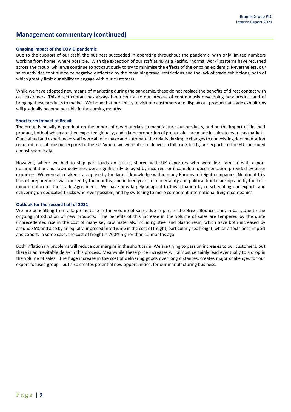## **Management commentary (continued)**

### **Ongoing impact of the COVID pandemic**

Due to the support of our staff, the business succeeded in operating throughout the pandemic, with only limited numbers working from home, where possible. With the exception of our staff at 4B Asia Pacific, "normal work" patterns have returned across the group, while we continue to act cautiously to try to minimise the effects of the ongoing epidemic. Nevertheless, our sales activities continue to be negatively affected by the remaining travel restrictions and the lack of trade exhibitions, both of which greatly limit our ability to engage with our customers.

While we have adopted new means of marketing during the pandemic, these do not replace the benefits of direct contact with our customers. This direct contact has always been central to our process of continuously developing new product and of bringing these products to market. We hope that our ability to visit our customers and display our products at trade exhibitions will gradually become possible in the coming months.

#### **Short term Impact of Brexit**

The group is heavily dependent on the import of raw materials to manufacture our products, and on the import of finished product, both of which are then exported globally, and a large proportion of group sales are made in sales to overseas markets. Our trained and experienced staff were able to make and automate the relatively simple changes to our existing documentation required to continue our exports to the EU. Where we were able to deliver in full truck loads, our exports to the EU continued almost seamlessly.

However, where we had to ship part loads on trucks, shared with UK exporters who were less familiar with export documentation, our own deliveries were significantly delayed by incorrect or incomplete documentation provided by other exporters. We were also taken by surprise by the lack of knowledge within many European freight companies. No doubt this lack of preparedness was caused by the months, and indeed years, of uncertainty and political brinkmanship and by the lastminute nature of the Trade Agreement. We have now largely adapted to this situation by re-scheduling our exports and delivering on dedicated trucks wherever possible, and by switching to more competent international freight companies.

#### **Outlook for the second half of 2021**

We are benefitting from a large increase in the volume of sales, due in part to the Brexit Bounce, and, in part, due to the ongoing introduction of new products. The benefits of this increase in the volume of sales are tempered by the quite unprecedented rise in the cost of many key raw materials, including steel and plastic resin, which have both increased by around 35% and also by an equally unprecedented jump in the cost of freight, particularly sea freight, which affects both import and export. In some case, the cost of freight is 700% higher than 12 months ago.

Both inflationary problems will reduce our margins in the short term. We are trying to pass on increases to our customers, but there is an inevitable delay in this process. Meanwhile these price increases will almost certainly lead eventually to a drop in the volume of sales. The huge increase in the cost of delivering goods over long distances, creates major challenges for our export focused group - but also creates potential new opportunities, for our manufacturing business.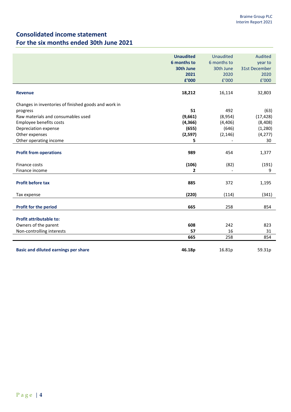## **Consolidated income statement For the six months ended 30th June 2021**

|                                                                                                                                                                             | <b>Unaudited</b><br>6 months to<br>30th June<br>2021<br>£'000 | Unaudited<br>6 months to<br>30th June<br>2020<br>f'000 | Audited<br>year to<br>31st December<br>2020<br>f'000  |
|-----------------------------------------------------------------------------------------------------------------------------------------------------------------------------|---------------------------------------------------------------|--------------------------------------------------------|-------------------------------------------------------|
| <b>Revenue</b>                                                                                                                                                              | 18,212                                                        | 16,114                                                 | 32,803                                                |
| Changes in inventories of finished goods and work in<br>progress<br>Raw materials and consumables used<br>Employee benefits costs<br>Depreciation expense<br>Other expenses | 51<br>(9,661)<br>(4, 366)<br>(655)<br>(2, 597)                | 492<br>(8,954)<br>(4,406)<br>(646)<br>(2, 146)         | (63)<br>(17, 428)<br>(8, 408)<br>(1, 280)<br>(4, 277) |
| Other operating income                                                                                                                                                      | 5                                                             |                                                        | 30                                                    |
| <b>Profit from operations</b><br>Finance costs                                                                                                                              | 989<br>(106)                                                  | 454<br>(82)                                            | 1,377<br>(191)                                        |
| Finance income                                                                                                                                                              | $\mathbf{2}$                                                  |                                                        | 9                                                     |
| <b>Profit before tax</b>                                                                                                                                                    | 885                                                           | 372                                                    | 1,195                                                 |
| Tax expense                                                                                                                                                                 | (220)                                                         | (114)                                                  | (341)                                                 |
| <b>Profit for the period</b>                                                                                                                                                | 665                                                           | 258                                                    | 854                                                   |
| <b>Profit attributable to:</b>                                                                                                                                              |                                                               |                                                        |                                                       |
| Owners of the parent                                                                                                                                                        | 608                                                           | 242                                                    | 823                                                   |
| Non-controlling interests                                                                                                                                                   | 57                                                            | 16                                                     | 31                                                    |
|                                                                                                                                                                             | 665                                                           | 258                                                    | 854                                                   |
| <b>Basic and diluted earnings per share</b>                                                                                                                                 | 46.18p                                                        | 16.81p                                                 | 59.31p                                                |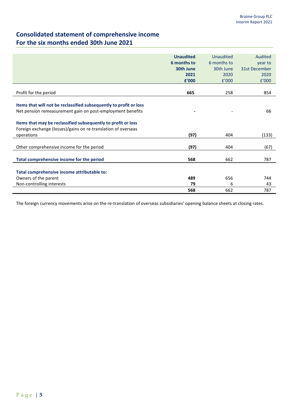# **Consolidated statement of comprehensive income For the six months ended 30th June 2021**

| <b>Unaudited</b><br>Audited<br>Unaudited<br>6 months to<br>6 months to<br>year to<br>30th June<br>31st December<br>30th June<br>2021<br>2020<br>2020<br>£'000<br>f'000<br>f'000<br>Profit for the period<br>665<br>258<br>854<br>Items that will not be reclassified subsequently to profit or loss<br>Net pension remeasurement gain on post-employment benefits<br>66<br>Items that may be reclassified subsequently to profit or loss<br>Foreign exchange (losses)/gains on re-translation of overseas<br>(97)<br>(133)<br>operations<br>404<br>(97)<br>Other comprehensive income for the period<br>(67)<br>404<br>Total comprehensive income for the period<br>568<br>662<br>787 |  |  |
|---------------------------------------------------------------------------------------------------------------------------------------------------------------------------------------------------------------------------------------------------------------------------------------------------------------------------------------------------------------------------------------------------------------------------------------------------------------------------------------------------------------------------------------------------------------------------------------------------------------------------------------------------------------------------------------|--|--|
|                                                                                                                                                                                                                                                                                                                                                                                                                                                                                                                                                                                                                                                                                       |  |  |
|                                                                                                                                                                                                                                                                                                                                                                                                                                                                                                                                                                                                                                                                                       |  |  |
|                                                                                                                                                                                                                                                                                                                                                                                                                                                                                                                                                                                                                                                                                       |  |  |
|                                                                                                                                                                                                                                                                                                                                                                                                                                                                                                                                                                                                                                                                                       |  |  |
|                                                                                                                                                                                                                                                                                                                                                                                                                                                                                                                                                                                                                                                                                       |  |  |
|                                                                                                                                                                                                                                                                                                                                                                                                                                                                                                                                                                                                                                                                                       |  |  |
|                                                                                                                                                                                                                                                                                                                                                                                                                                                                                                                                                                                                                                                                                       |  |  |
|                                                                                                                                                                                                                                                                                                                                                                                                                                                                                                                                                                                                                                                                                       |  |  |
|                                                                                                                                                                                                                                                                                                                                                                                                                                                                                                                                                                                                                                                                                       |  |  |
|                                                                                                                                                                                                                                                                                                                                                                                                                                                                                                                                                                                                                                                                                       |  |  |
|                                                                                                                                                                                                                                                                                                                                                                                                                                                                                                                                                                                                                                                                                       |  |  |
|                                                                                                                                                                                                                                                                                                                                                                                                                                                                                                                                                                                                                                                                                       |  |  |
|                                                                                                                                                                                                                                                                                                                                                                                                                                                                                                                                                                                                                                                                                       |  |  |
|                                                                                                                                                                                                                                                                                                                                                                                                                                                                                                                                                                                                                                                                                       |  |  |
|                                                                                                                                                                                                                                                                                                                                                                                                                                                                                                                                                                                                                                                                                       |  |  |
|                                                                                                                                                                                                                                                                                                                                                                                                                                                                                                                                                                                                                                                                                       |  |  |
|                                                                                                                                                                                                                                                                                                                                                                                                                                                                                                                                                                                                                                                                                       |  |  |
|                                                                                                                                                                                                                                                                                                                                                                                                                                                                                                                                                                                                                                                                                       |  |  |
|                                                                                                                                                                                                                                                                                                                                                                                                                                                                                                                                                                                                                                                                                       |  |  |
|                                                                                                                                                                                                                                                                                                                                                                                                                                                                                                                                                                                                                                                                                       |  |  |
|                                                                                                                                                                                                                                                                                                                                                                                                                                                                                                                                                                                                                                                                                       |  |  |
| Total comprehensive income attributable to:                                                                                                                                                                                                                                                                                                                                                                                                                                                                                                                                                                                                                                           |  |  |
| Owners of the parent<br>489<br>656<br>744                                                                                                                                                                                                                                                                                                                                                                                                                                                                                                                                                                                                                                             |  |  |
| Non-controlling interests<br>6<br>79<br>43                                                                                                                                                                                                                                                                                                                                                                                                                                                                                                                                                                                                                                            |  |  |
| 662<br>568<br>787                                                                                                                                                                                                                                                                                                                                                                                                                                                                                                                                                                                                                                                                     |  |  |

The foreign currency movements arise on the re-translation of overseas subsidiaries' opening balance sheets at closing rates.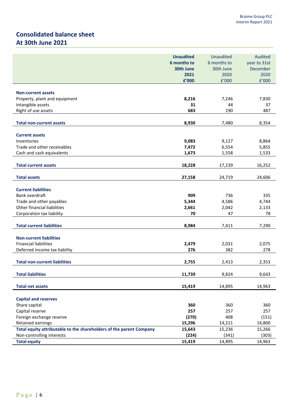# **Consolidated balance sheet At 30th June 2021**

|                                                                     | <b>Unaudited</b> | <b>Unaudited</b> | Audited      |
|---------------------------------------------------------------------|------------------|------------------|--------------|
|                                                                     | 6 months to      | 6 months to      | year to 31st |
|                                                                     | 30th June        | 30th June        | December     |
|                                                                     | 2021             | 2020             | 2020         |
|                                                                     | £'000            | f'000            | f'000        |
|                                                                     |                  |                  |              |
| <b>Non-current assets</b>                                           |                  |                  |              |
| Property, plant and equipment                                       | 8,216            | 7,246            | 7,830        |
| Intangible assets                                                   | 31               | 44               | 37           |
| Right of use assets                                                 | 683              | 190              | 487          |
| <b>Total non-current assets</b>                                     | 8,930            | 7,480            | 8,354        |
|                                                                     |                  |                  |              |
| <b>Current assets</b>                                               |                  |                  |              |
| Inventories                                                         | 9,083            | 9,127            | 8,864        |
| Trade and other receivables                                         | 7,472            | 6,554            | 5,855        |
| Cash and cash equivalents                                           | 1,673            | 1,558            | 1,533        |
| <b>Total current assets</b>                                         | 18,228           | 17,239           | 16,252       |
| <b>Total assets</b>                                                 | 27,158           | 24,719           | 24,606       |
|                                                                     |                  |                  |              |
| <b>Current liabilities</b>                                          |                  |                  |              |
| Bank overdraft                                                      | 909              | 736              | 335          |
| Trade and other payables                                            | 5,344            | 4,586            | 4,744        |
| Other financial liabilities                                         | 2,661            | 2,042            | 2,133        |
| Corporation tax liability                                           | 70               | 47               | 78           |
|                                                                     |                  |                  |              |
| <b>Total current liabilities</b>                                    | 8,984            | 7,411            | 7,290        |
| <b>Non-current liabilities</b>                                      |                  |                  |              |
| <b>Financial liabilities</b>                                        | 2,479            | 2,031            | 2,075        |
| Deferred income tax liability                                       | 276              | 382              | 278          |
|                                                                     |                  |                  |              |
| <b>Total non-current liabilities</b>                                | 2,755            | 2,413            | 2,353        |
| <b>Total liabilities</b>                                            |                  |                  | 9,643        |
|                                                                     | 11,739           | 9,824            |              |
| <b>Total net assets</b>                                             | 15,419           | 14,895           | 14,963       |
|                                                                     |                  |                  |              |
| <b>Capital and reserves</b>                                         |                  |                  |              |
| Share capital                                                       | 360              | 360              | 360          |
| Capital reserve                                                     | 257              | 257              | 257          |
| Foreign exchange reserve                                            | (270)            | 408              | (151)        |
| <b>Retained earnings</b>                                            | 15,296           | 14,211           | 14,800       |
| Total equity attributable to the shareholders of the parent Company | 15,643           | 15,236           | 15,266       |
| Non-controlling interests                                           | (224)            | (341)            | (303)        |
| <b>Total equity</b>                                                 | 15,419           | 14,895           | 14,963       |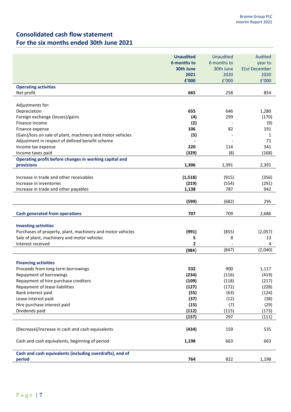# **Consolidated cash flow statement For the six months ended 30th June 2021**

|                                                            | <b>Unaudited</b> | <b>Unaudited</b> | Audited       |
|------------------------------------------------------------|------------------|------------------|---------------|
|                                                            | 6 months to      | 6 months to      | year to       |
|                                                            | 30th June        | 30th June        | 31st December |
|                                                            | 2021             | 2020             | 2020          |
|                                                            | £'000            | E'000            | f'000         |
| <b>Operating activities</b>                                |                  |                  |               |
| Net profit                                                 | 665              | 258              | 854           |
|                                                            |                  |                  |               |
| Adjustments for:                                           |                  |                  |               |
| Depreciation                                               | 655              | 646              | 1,280         |
| Foreign exchange (losses)/gains                            | (4)              | 299              | (170)         |
| Finance income                                             | (2)              |                  | (9)           |
| Finance expense                                            | 106              | 82               | 191           |
| (Gain)/loss on sale of plant, machinery and motor vehicles | (5)              |                  | $\mathbf{1}$  |
| Adjustment in respect of defined benefit scheme            |                  |                  | 71            |
| Income tax expense                                         | 220              | 114              | 341           |
| Income taxes paid                                          | (329)            | (8)              | (168)         |
| Operating profit before changes in working capital and     |                  |                  |               |
| provisions                                                 | 1,306            | 1,391            | 2,391         |
|                                                            |                  |                  |               |
| Increase in trade and other receivables                    | (1, 518)         | (915)            | (356)         |
| Increase in inventories                                    | (219)            | (554)            | (291)         |
| Increase in trade and other payables                       | 1,138            | 787              | 942           |
|                                                            |                  |                  |               |
|                                                            | (599)            | (682)            | 295           |
|                                                            |                  |                  |               |
| <b>Cash generated from operations</b>                      | 707              | 709              | 2,686         |
|                                                            |                  |                  |               |
| <b>Investing activities</b>                                |                  |                  |               |
| Purchases of property, plant, machinery and motor vehicles | (991)            | (855)            | (2,057)       |
| Sale of plant, machinery and motor vehicles                | 5                | 8                | 13            |
| Interest received                                          | 2                |                  | 4             |
|                                                            | (984)            | (847)            | (2,040)       |
|                                                            |                  |                  |               |
| <b>Financing activities</b>                                |                  |                  |               |
| Proceeds from long term borrowings                         | 532              | 900              | 1,117         |
| Repayment of borrowings                                    | (234)            | (116)            | (419)         |
| Repayment of hire purchase creditors                       | (109)            | (118)            | (217)         |
| Repayment of lease liabilities                             | (127)            | (172)            | (228)         |
| Bank interest paid                                         | (55)             | (63)             | (124)         |
| Lease interest paid                                        | (37)             | (12)             | (38)          |
| Hire purchase interest paid                                | (15)             | (7)              | (29)          |
| Dividends paid                                             | (112)            | (115)            | (173)         |
|                                                            | (157)            | 297              | (111)         |
| (Decrease)/increase in cash and cash equivalents           | (434)            | 159              | 535           |
|                                                            |                  |                  |               |
| Cash and cash equivalents, beginning of period             | 1,198            | 663              | 663           |
|                                                            |                  |                  |               |
| Cash and cash equivalents (including overdrafts), end of   |                  |                  |               |
| period                                                     | 764              | 822              | 1,198         |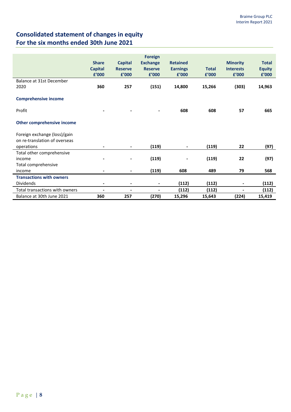# **Consolidated statement of changes in equity For the six months ended 30th June 2021**

|                                 |                |                | <b>Foreign</b>  |                 |              |                  |               |
|---------------------------------|----------------|----------------|-----------------|-----------------|--------------|------------------|---------------|
|                                 | <b>Share</b>   | <b>Capital</b> | <b>Exchange</b> | <b>Retained</b> |              | <b>Minority</b>  | <b>Total</b>  |
|                                 | <b>Capital</b> | <b>Reserve</b> | <b>Reserve</b>  | <b>Earnings</b> | <b>Total</b> | <b>Interests</b> | <b>Equity</b> |
|                                 | £'000          | £'000          | £'000           | £'000           | £'000        | £'000            | £'000         |
| Balance at 31st December        |                |                |                 |                 |              |                  |               |
| 2020                            | 360            | 257            | (151)           | 14,800          | 15,266       | (303)            | 14,963        |
|                                 |                |                |                 |                 |              |                  |               |
| <b>Comprehensive income</b>     |                |                |                 |                 |              |                  |               |
|                                 |                |                |                 |                 |              |                  |               |
| Profit                          |                |                |                 | 608             | 608          | 57               | 665           |
|                                 |                |                |                 |                 |              |                  |               |
| Other comprehensive income      |                |                |                 |                 |              |                  |               |
|                                 |                |                |                 |                 |              |                  |               |
| Foreign exchange (loss)/gain    |                |                |                 |                 |              |                  |               |
| on re-translation of overseas   |                |                |                 |                 |              |                  |               |
| operations                      |                | $\blacksquare$ | (119)           | $\blacksquare$  | (119)        | 22               | (97)          |
| Total other comprehensive       |                |                |                 |                 |              |                  |               |
| income                          |                |                | (119)           |                 | (119)        | 22               | (97)          |
| Total comprehensive             |                |                |                 |                 |              |                  |               |
| income                          |                | $\blacksquare$ | (119)           | 608             | 489          | 79               | 568           |
| <b>Transactions with owners</b> |                |                |                 |                 |              |                  |               |
| <b>Dividends</b>                | $\blacksquare$ |                | $\blacksquare$  | (112)           | (112)        |                  | (112)         |
| Total transactions with owners  | $\blacksquare$ | $\blacksquare$ | $\blacksquare$  | (112)           | (112)        | $\blacksquare$   | (112)         |
| Balance at 30th June 2021       | 360            | 257            | (270)           | 15,296          | 15,643       | (224)            | 15,419        |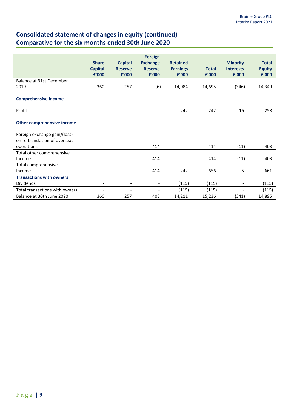# **Consolidated statement of changes in equity (continued) Comparative for the six months ended 30th June 2020**

|                                 |                          |                          | <b>Foreign</b>           |                          |              |                          |               |
|---------------------------------|--------------------------|--------------------------|--------------------------|--------------------------|--------------|--------------------------|---------------|
|                                 | <b>Share</b>             | <b>Capital</b>           | <b>Exchange</b>          | <b>Retained</b>          |              | <b>Minority</b>          | <b>Total</b>  |
|                                 | <b>Capital</b>           | <b>Reserve</b>           | <b>Reserve</b>           | <b>Earnings</b>          | <b>Total</b> | <b>Interests</b>         | <b>Equity</b> |
|                                 | £'000                    | £'000                    | £'000                    | £'000                    | £'000        | £'000                    | £'000         |
| Balance at 31st December        |                          |                          |                          |                          |              |                          |               |
| 2019                            | 360                      | 257                      | (6)                      | 14,084                   | 14,695       | (346)                    | 14,349        |
|                                 |                          |                          |                          |                          |              |                          |               |
| <b>Comprehensive income</b>     |                          |                          |                          |                          |              |                          |               |
|                                 |                          |                          |                          |                          |              |                          |               |
| Profit                          |                          |                          | $\overline{\phantom{a}}$ | 242                      | 242          | 16                       | 258           |
| Other comprehensive income      |                          |                          |                          |                          |              |                          |               |
| Foreign exchange gain/(loss)    |                          |                          |                          |                          |              |                          |               |
| on re-translation of overseas   |                          |                          |                          |                          |              |                          |               |
| operations                      | $\overline{\phantom{a}}$ | $\blacksquare$           | 414                      | $\overline{\phantom{a}}$ | 414          | (11)                     | 403           |
| Total other comprehensive       |                          |                          |                          |                          |              |                          |               |
| Income                          |                          |                          | 414                      |                          | 414          | (11)                     | 403           |
| Total comprehensive             |                          |                          |                          |                          |              |                          |               |
| Income                          | $\overline{\phantom{a}}$ | $\blacksquare$           | 414                      | 242                      | 656          | 5                        | 661           |
| <b>Transactions with owners</b> |                          |                          |                          |                          |              |                          |               |
| <b>Dividends</b>                | $\overline{\phantom{a}}$ | $\overline{\phantom{a}}$ | $\blacksquare$           | (115)                    | (115)        | $\overline{a}$           | (115)         |
| Total transactions with owners  | $\overline{\phantom{a}}$ | $\overline{\phantom{a}}$ | $\overline{a}$           | (115)                    | (115)        | $\overline{\phantom{a}}$ | (115)         |
| Balance at 30th June 2020       | 360                      | 257                      | 408                      | 14,211                   | 15,236       | (341)                    | 14,895        |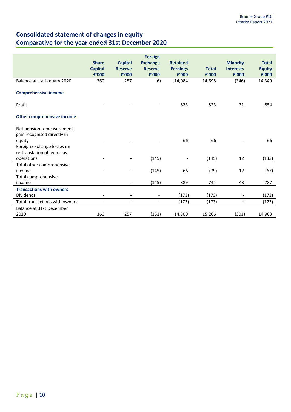# **Consolidated statement of changes in equity Comparative for the year ended 31st December 2020**

|                                                                                                                                | <b>Share</b><br><b>Capital</b><br>£'000 | <b>Capital</b><br><b>Reserve</b><br>£'000 | <b>Foreign</b><br><b>Exchange</b><br><b>Reserve</b><br>£'000 | <b>Retained</b><br><b>Earnings</b><br>£'000 | <b>Total</b><br>f'000 | <b>Minority</b><br><b>Interests</b><br>£'000 | <b>Total</b><br><b>Equity</b><br>£'000 |
|--------------------------------------------------------------------------------------------------------------------------------|-----------------------------------------|-------------------------------------------|--------------------------------------------------------------|---------------------------------------------|-----------------------|----------------------------------------------|----------------------------------------|
| Balance at 1st January 2020                                                                                                    | 360                                     | 257                                       | (6)                                                          | 14,084                                      | 14,695                | (346)                                        | 14,349                                 |
| <b>Comprehensive income</b>                                                                                                    |                                         |                                           |                                                              |                                             |                       |                                              |                                        |
| Profit                                                                                                                         |                                         |                                           |                                                              | 823                                         | 823                   | 31                                           | 854                                    |
| Other comprehensive income                                                                                                     |                                         |                                           |                                                              |                                             |                       |                                              |                                        |
| Net pension remeasurement<br>gain recognised directly in<br>equity<br>Foreign exchange losses on<br>re-translation of overseas |                                         |                                           |                                                              | 66                                          | 66                    |                                              | 66                                     |
| operations                                                                                                                     |                                         | $\overline{\phantom{a}}$                  | (145)                                                        | $\overline{\phantom{a}}$                    | (145)                 | 12                                           | (133)                                  |
| Total other comprehensive<br>income<br>Total comprehensive<br>income                                                           |                                         | $\overline{\phantom{a}}$                  | (145)<br>(145)                                               | 66<br>889                                   | (79)<br>744           | 12<br>43                                     | (67)<br>787                            |
| <b>Transactions with owners</b><br><b>Dividends</b>                                                                            | $\overline{\phantom{a}}$                | $\overline{\phantom{0}}$                  | $\blacksquare$                                               | (173)                                       | (173)                 | $\overline{\phantom{a}}$                     | (173)                                  |
| Total transactions with owners                                                                                                 |                                         | $\overline{a}$                            |                                                              | (173)                                       | (173)                 | $\overline{\phantom{0}}$                     | (173)                                  |
| Balance at 31st December<br>2020                                                                                               | 360                                     | 257                                       | (151)                                                        | 14,800                                      | 15,266                | (303)                                        | 14,963                                 |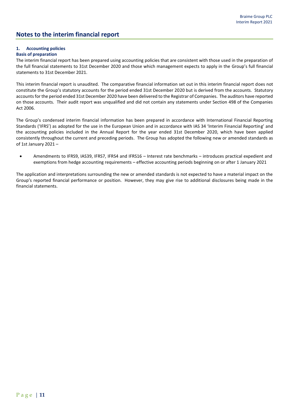## **Notes to the interim financial report**

### **1. Accounting policies**

### **Basis of preparation**

The interim financial report has been prepared using accounting policies that are consistent with those used in the preparation of the full financial statements to 31st December 2020 and those which management expects to apply in the Group's full financial statements to 31st December 2021.

This interim financial report is unaudited. The comparative financial information set out in this interim financial report does not constitute the Group's statutory accounts for the period ended 31st December 2020 but is derived from the accounts. Statutory accounts for the period ended 31st December 2020 have been delivered to the Registrar of Companies. The auditors have reported on those accounts. Their audit report was unqualified and did not contain any statements under Section 498 of the Companies Act 2006.

The Group's condensed interim financial information has been prepared in accordance with International Financial Reporting Standards ('IFRS') as adopted for the use in the European Union and in accordance with IAS 34 'Interim Financial Reporting' and the accounting policies included in the Annual Report for the year ended 31st December 2020, which have been applied consistently throughout the current and preceding periods. The Group has adopted the following new or amended standards as of 1st January 2021 –

• Amendments to IFRS9, IAS39, IFRS7, IFRS4 and IFRS16 – Interest rate benchmarks – introduces practical expedient and exemptions from hedge accounting requirements – effective accounting periods beginning on or after 1 January 2021

The application and interpretations surrounding the new or amended standards is not expected to have a material impact on the Group's reported financial performance or position. However, they may give rise to additional disclosures being made in the financial statements.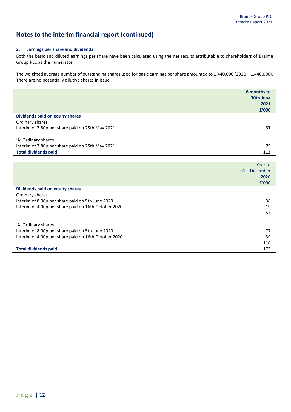# **Notes to the interim financial report (continued)**

### **2. Earnings per share and dividends**

Both the basic and diluted earnings per share have been calculated using the net results attributable to shareholders of Braime Group PLC as the numerator.

The weighted average number of outstanding shares used for basic earnings per share amounted to 1,440,000 (2020 – 1,440,000). There are no potentially dilutive shares in issue.

|                                                      | 6 months to<br>30th June<br>2021<br>£'000 |
|------------------------------------------------------|-------------------------------------------|
| Dividends paid on equity shares                      |                                           |
| Ordinary shares                                      |                                           |
| Interim of 7.80p per share paid on 25th May 2021     | 37                                        |
|                                                      |                                           |
| 'A' Ordinary shares                                  |                                           |
| Interim of 7.80p per share paid on 25th May 2021     | 75                                        |
| <b>Total dividends paid</b>                          | 112                                       |
|                                                      |                                           |
|                                                      | Year to                                   |
|                                                      | 31st December                             |
|                                                      | 2020                                      |
|                                                      | f'000                                     |
| Dividends paid on equity shares                      |                                           |
| Ordinary shares                                      |                                           |
| Interim of 8.00p per share paid on 5th June 2020     | 38                                        |
| Interim of 4.00p per share paid on 16th October 2020 | 19                                        |
|                                                      | 57                                        |
|                                                      |                                           |
| 'A' Ordinary shares                                  |                                           |
| Interim of 8.00p per share paid on 5th June 2020     | 77                                        |
| Interim of 4.00p per share paid on 16th October 2020 | 39                                        |
|                                                      | 116                                       |
| <b>Total dividends paid</b>                          | 173                                       |

**Total dividends paid**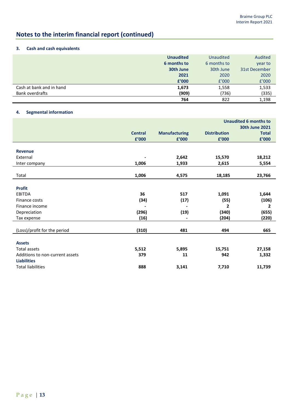# **Notes to the interim financial report (continued)**

### **3. Cash and cash equivalents**

|                          | <b>Unaudited</b> | <b>Unaudited</b> | Audited       |
|--------------------------|------------------|------------------|---------------|
|                          | 6 months to      | 6 months to      | year to       |
|                          | 30th June        | 30th June        | 31st December |
|                          | 2021             | 2020             | 2020          |
|                          | £'000            | f'000            | f'000         |
| Cash at bank and in hand | 1,673            | 1,558            | 1,533         |
| Bank overdrafts          | (909)            | (736)            | (335)         |
|                          | 764              | 822              | 1,198         |

### **4. Segmental information**

|                                 |                |                      | <b>Unaudited 6 months to</b> |              |  |  |
|---------------------------------|----------------|----------------------|------------------------------|--------------|--|--|
|                                 |                |                      | <b>30th June 2021</b>        |              |  |  |
|                                 | <b>Central</b> | <b>Manufacturing</b> | <b>Distribution</b>          | <b>Total</b> |  |  |
|                                 | £'000          | £'000                | £'000                        | £'000        |  |  |
|                                 |                |                      |                              |              |  |  |
| <b>Revenue</b>                  |                |                      |                              |              |  |  |
| External                        |                | 2,642                | 15,570                       | 18,212       |  |  |
| Inter company                   | 1,006          | 1,933                | 2,615                        | 5,554        |  |  |
|                                 |                |                      |                              |              |  |  |
| Total                           | 1,006          | 4,575                | 18,185                       | 23,766       |  |  |
|                                 |                |                      |                              |              |  |  |
| <b>Profit</b>                   |                |                      |                              |              |  |  |
| EBITDA                          | 36             | 517                  | 1,091                        | 1,644        |  |  |
| Finance costs                   | (34)           | (17)                 | (55)                         | (106)        |  |  |
| Finance income                  |                |                      | 2                            | $\mathbf{2}$ |  |  |
| Depreciation                    | (296)          | (19)                 | (340)                        | (655)        |  |  |
| Tax expense                     | (16)           | -                    | (204)                        | (220)        |  |  |
|                                 |                |                      |                              |              |  |  |
| (Loss)/profit for the period    | (310)          | 481                  | 494                          | 665          |  |  |
|                                 |                |                      |                              |              |  |  |
| <b>Assets</b>                   |                |                      |                              |              |  |  |
| <b>Total assets</b>             | 5,512          | 5,895                | 15,751                       | 27,158       |  |  |
| Additions to non-current assets | 379            | 11                   | 942                          | 1,332        |  |  |
| <b>Liabilities</b>              |                |                      |                              |              |  |  |
| <b>Total liabilities</b>        | 888            | 3,141                | 7,710                        | 11,739       |  |  |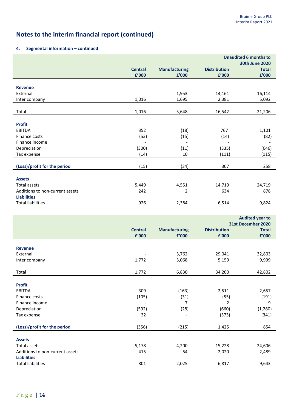# **Notes to the interim financial report (continued)**

### **4. Segmental information – continued**

|                                                       |                | <b>Unaudited 6 months to</b>  |                     |                                              |
|-------------------------------------------------------|----------------|-------------------------------|---------------------|----------------------------------------------|
|                                                       |                |                               |                     | <b>30th June 2020</b>                        |
|                                                       | <b>Central</b> | <b>Manufacturing</b>          | <b>Distribution</b> | <b>Total</b>                                 |
|                                                       | £'000          | £'000                         | £'000               | £'000                                        |
|                                                       |                |                               |                     |                                              |
| <b>Revenue</b>                                        |                |                               |                     |                                              |
| External                                              |                | 1,953                         | 14,161              | 16,114                                       |
| Inter company                                         | 1,016          | 1,695                         | 2,381               | 5,092                                        |
|                                                       |                |                               |                     |                                              |
| Total                                                 | 1,016          | 3,648                         | 16,542              | 21,206                                       |
| <b>Profit</b>                                         |                |                               |                     |                                              |
| <b>EBITDA</b>                                         | 352            | (18)                          | 767                 | 1,101                                        |
| Finance costs                                         | (53)           | (15)                          | (14)                | (82)                                         |
| Finance income                                        |                | $\overline{\phantom{a}}$      |                     |                                              |
| Depreciation                                          | (300)          | (11)                          | (335)               | (646)                                        |
| Tax expense                                           | (14)           | 10                            | (111)               | (115)                                        |
|                                                       |                |                               |                     |                                              |
| (Loss)/profit for the period                          | (15)           | (34)                          | 307                 | 258                                          |
|                                                       |                |                               |                     |                                              |
| <b>Assets</b>                                         |                |                               |                     |                                              |
| <b>Total assets</b>                                   | 5,449          | 4,551                         | 14,719              | 24,719                                       |
| Additions to non-current assets                       | 242            | 2                             | 634                 | 878                                          |
| <b>Liabilities</b>                                    |                |                               |                     |                                              |
| <b>Total liabilities</b>                              | 926            | 2,384                         | 6,514               | 9,824                                        |
|                                                       |                |                               |                     |                                              |
|                                                       |                |                               |                     |                                              |
|                                                       |                |                               |                     |                                              |
|                                                       |                |                               |                     | <b>Audited year to</b><br>31st December 2020 |
|                                                       | <b>Central</b> |                               | <b>Distribution</b> | <b>Total</b>                                 |
|                                                       | £'000          | <b>Manufacturing</b><br>£'000 | £'000               | £'000                                        |
|                                                       |                |                               |                     |                                              |
| <b>Revenue</b>                                        |                |                               |                     |                                              |
| External                                              |                | 3,762                         | 29,041              | 32,803                                       |
| Inter company                                         | 1,772          | 3,068                         | 5,159               | 9,999                                        |
|                                                       |                |                               |                     |                                              |
| Total                                                 | 1,772          | 6,830                         | 34,200              | 42,802                                       |
|                                                       |                |                               |                     |                                              |
| <b>Profit</b>                                         |                |                               |                     |                                              |
| <b>EBITDA</b>                                         | 309            | (163)                         | 2,511               | 2,657                                        |
| Finance costs                                         | (105)          | (31)                          | (55)                | (191)                                        |
| Finance income                                        |                | $\overline{7}$                | 2                   | 9                                            |
| Depreciation                                          | (592)          | (28)                          | (660)               | (1, 280)                                     |
| Tax expense                                           | 32             | $\overline{\phantom{a}}$      | (373)               | (341)                                        |
|                                                       |                |                               |                     |                                              |
| (Loss)/profit for the period                          | (356)          | (215)                         | 1,425               | 854                                          |
|                                                       |                |                               |                     |                                              |
| <b>Assets</b>                                         |                |                               |                     |                                              |
| Total assets                                          | 5,178          | 4,200                         | 15,228              | 24,606                                       |
| Additions to non-current assets<br><b>Liabilities</b> | 415            | 54                            | 2,020               | 2,489                                        |